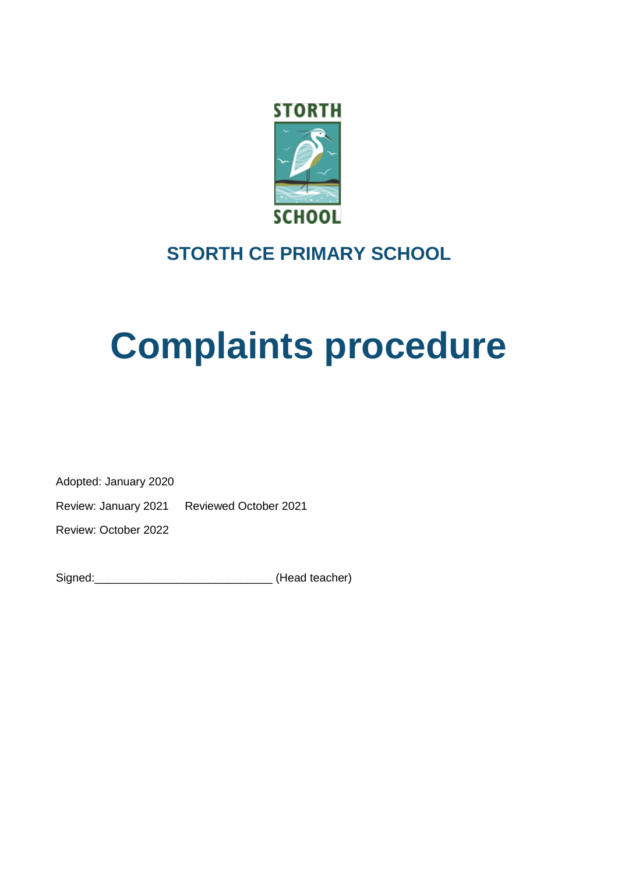

# **STORTH CE PRIMARY SCHOOL**

# **Complaints procedure**

Adopted: January 2020

Review: January 2021 Reviewed October 2021

Review: October 2022

| Signed: | (Head teacher) |
|---------|----------------|
|---------|----------------|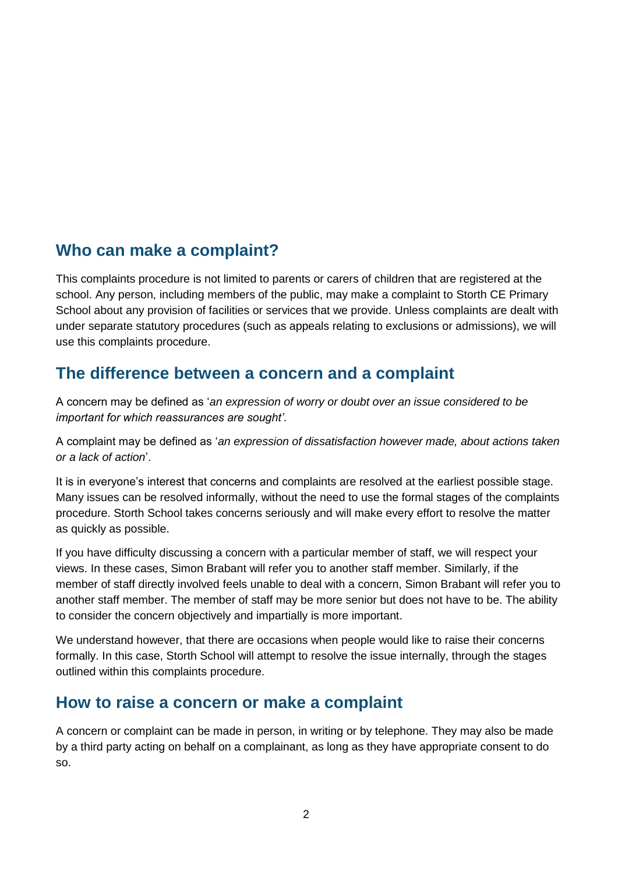### **Who can make a complaint?**

This complaints procedure is not limited to parents or carers of children that are registered at the school. Any person, including members of the public, may make a complaint to Storth CE Primary School about any provision of facilities or services that we provide. Unless complaints are dealt with under separate statutory procedures (such as appeals relating to exclusions or admissions), we will use this complaints procedure.

# **The difference between a concern and a complaint**

A concern may be defined as '*an expression of worry or doubt over an issue considered to be important for which reassurances are sought'*.

A complaint may be defined as '*an expression of dissatisfaction however made, about actions taken or a lack of action*'.

It is in everyone's interest that concerns and complaints are resolved at the earliest possible stage. Many issues can be resolved informally, without the need to use the formal stages of the complaints procedure. Storth School takes concerns seriously and will make every effort to resolve the matter as quickly as possible.

If you have difficulty discussing a concern with a particular member of staff, we will respect your views. In these cases, Simon Brabant will refer you to another staff member. Similarly, if the member of staff directly involved feels unable to deal with a concern, Simon Brabant will refer you to another staff member. The member of staff may be more senior but does not have to be. The ability to consider the concern objectively and impartially is more important.

We understand however, that there are occasions when people would like to raise their concerns formally. In this case, Storth School will attempt to resolve the issue internally, through the stages outlined within this complaints procedure.

### **How to raise a concern or make a complaint**

A concern or complaint can be made in person, in writing or by telephone. They may also be made by a third party acting on behalf on a complainant, as long as they have appropriate consent to do so.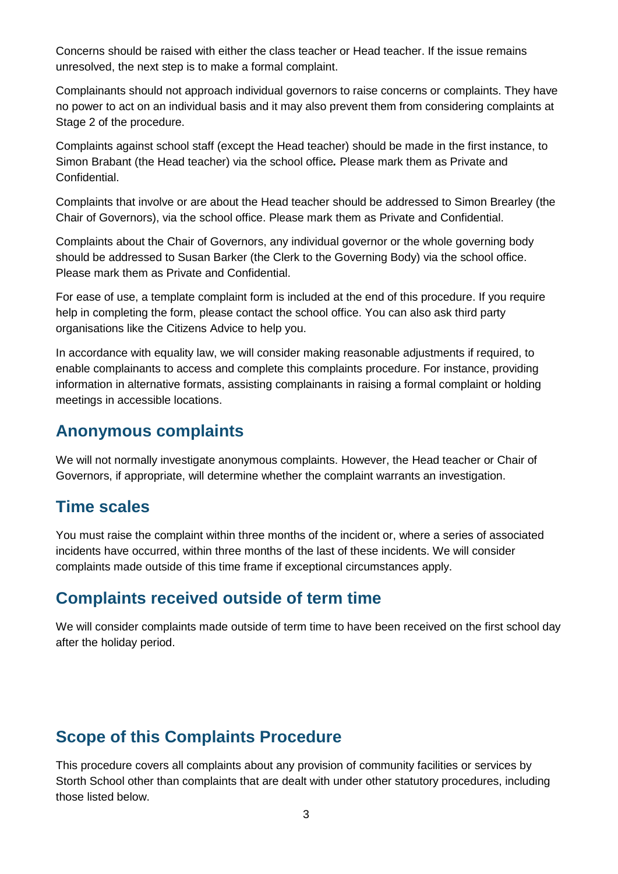Concerns should be raised with either the class teacher or Head teacher. If the issue remains unresolved, the next step is to make a formal complaint.

Complainants should not approach individual governors to raise concerns or complaints. They have no power to act on an individual basis and it may also prevent them from considering complaints at Stage 2 of the procedure.

Complaints against school staff (except the Head teacher) should be made in the first instance, to Simon Brabant (the Head teacher) via the school office*.* Please mark them as Private and Confidential.

Complaints that involve or are about the Head teacher should be addressed to Simon Brearley (the Chair of Governors), via the school office. Please mark them as Private and Confidential.

Complaints about the Chair of Governors, any individual governor or the whole governing body should be addressed to Susan Barker (the Clerk to the Governing Body) via the school office. Please mark them as Private and Confidential.

For ease of use, a template complaint form is included at the end of this procedure. If you require help in completing the form, please contact the school office. You can also ask third party organisations like the Citizens Advice to help you.

In accordance with equality law, we will consider making reasonable adjustments if required, to enable complainants to access and complete this complaints procedure. For instance, providing information in alternative formats, assisting complainants in raising a formal complaint or holding meetings in accessible locations.

### **Anonymous complaints**

We will not normally investigate anonymous complaints. However, the Head teacher or Chair of Governors, if appropriate, will determine whether the complaint warrants an investigation.

# **Time scales**

You must raise the complaint within three months of the incident or, where a series of associated incidents have occurred, within three months of the last of these incidents. We will consider complaints made outside of this time frame if exceptional circumstances apply.

# **Complaints received outside of term time**

We will consider complaints made outside of term time to have been received on the first school day after the holiday period.

# **Scope of this Complaints Procedure**

This procedure covers all complaints about any provision of community facilities or services by Storth School other than complaints that are dealt with under other statutory procedures, including those listed below.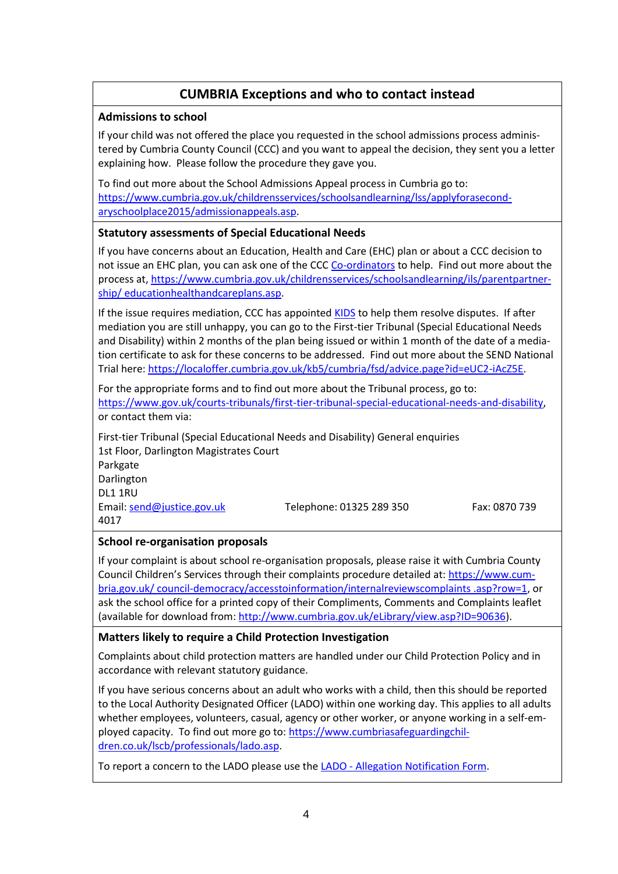### **CUMBRIA Exceptions and who to contact instead**

#### **Admissions to school**

If your child was not offered the place you requested in the school admissions process administered by Cumbria County Council (CCC) and you want to appeal the decision, they sent you a letter explaining how. Please follow the procedure they gave you.

To find out more about the School Admissions Appeal process in Cumbria go to: [https://www.cumbria.gov.uk/childrensservices/schoolsandlearning/lss/applyforasecond](https://www.cumbria.gov.uk/childrensservices/schoolsandlearning/lss/applyforasecondaryschoolplace2015/admissionappeals.asp)[aryschoolplace2015/admissionappeals.asp.](https://www.cumbria.gov.uk/childrensservices/schoolsandlearning/lss/applyforasecondaryschoolplace2015/admissionappeals.asp)

#### **Statutory assessments of Special Educational Needs**

If you have concerns about an Education, Health and Care (EHC) plan or about a CCC decision to not issue an EHC plan, you can ask one of the CCC [Co-ordinators](http://www.cumbria.gov.uk/elibrary/Content/Internet/537/6381/6424/6865/7029/42466162734.pdf?timestamp=43171161532) to help. Find out more about the process at, [https://www.cumbria.gov.uk/childrensservices/schoolsandlearning/ils/parentpartner](https://www.cumbria.gov.uk/childrensservices/schoolsandlearning/ils/parentpartnership/educationhealthandcareplans.asp)[ship/ educationhealthandcareplans.asp.](https://www.cumbria.gov.uk/childrensservices/schoolsandlearning/ils/parentpartnership/educationhealthandcareplans.asp)

If the issue requires mediation, CCC has appointed [KIDS](http://www.kids.org.uk/regional-mediation) to help them resolve disputes. If after mediation you are still unhappy, you can go to the First-tier Tribunal (Special Educational Needs and Disability) within 2 months of the plan being issued or within 1 month of the date of a mediation certificate to ask for these concerns to be addressed. Find out more about the SEND National Trial here[: https://localoffer.cumbria.gov.uk/kb5/cumbria/fsd/advice.page?id=eUC2-iAcZ5E.](https://localoffer.cumbria.gov.uk/kb5/cumbria/fsd/advice.page?id=eUC2-iAcZ5E)

For the appropriate forms and to find out more about the Tribunal process, go to: [https://www.gov.uk/courts-tribunals/first-tier-tribunal-special-educational-needs-and-disability,](https://www.gov.uk/courts-tribunals/first-tier-tribunal-special-educational-needs-and-disability) or contact them via:

First-tier Tribunal (Special Educational Needs and Disability) General enquiries 1st Floor, Darlington Magistrates Court Parkgate Darlington DL1 1RU

Email[: send@justice.gov.uk](mailto:send@justice.gov.uk) Telephone: 01325 289 350 Fax: 0870 739

#### **School re-organisation proposals**

4017

If your complaint is about school re-organisation proposals, please raise it with Cumbria County Council Children's Services through their complaints procedure detailed at: [https://www.cum](https://www.cumbria.gov.uk/%20council-democracy/accesstoinformation/internalreviewscomplaints%20.asp?row=1)[bria.gov.uk/ council-democracy/accesstoinformation/internalreviewscomplaints .asp?row=1,](https://www.cumbria.gov.uk/%20council-democracy/accesstoinformation/internalreviewscomplaints%20.asp?row=1) or ask the school office for a printed copy of their Compliments, Comments and Complaints leaflet (available for download from: [http://www.cumbria.gov.uk/eLibrary/view.asp?ID=90636\)](http://www.cumbria.gov.uk/eLibrary/view.asp?ID=90636).

#### **Matters likely to require a Child Protection Investigation**

Complaints about child protection matters are handled under our Child Protection Policy and in accordance with relevant statutory guidance.

If you have serious concerns about an adult who works with a child, then this should be reported to the Local Authority Designated Officer (LADO) within one working day. This applies to all adults whether employees, volunteers, casual, agency or other worker, or anyone working in a self-employed capacity. To find out more go to: [https://www.cumbriasafeguardingchil](https://www.cumbriasafeguardingchildren.co.uk/lscb/professionals/lado.asp)[dren.co.uk/lscb/professionals/lado.asp.](https://www.cumbriasafeguardingchildren.co.uk/lscb/professionals/lado.asp)

To report a concern to the LADO please use the LADO - [Allegation Notification Form.](http://www.cumbria.gov.uk/elibrary/view.asp?ID=56405)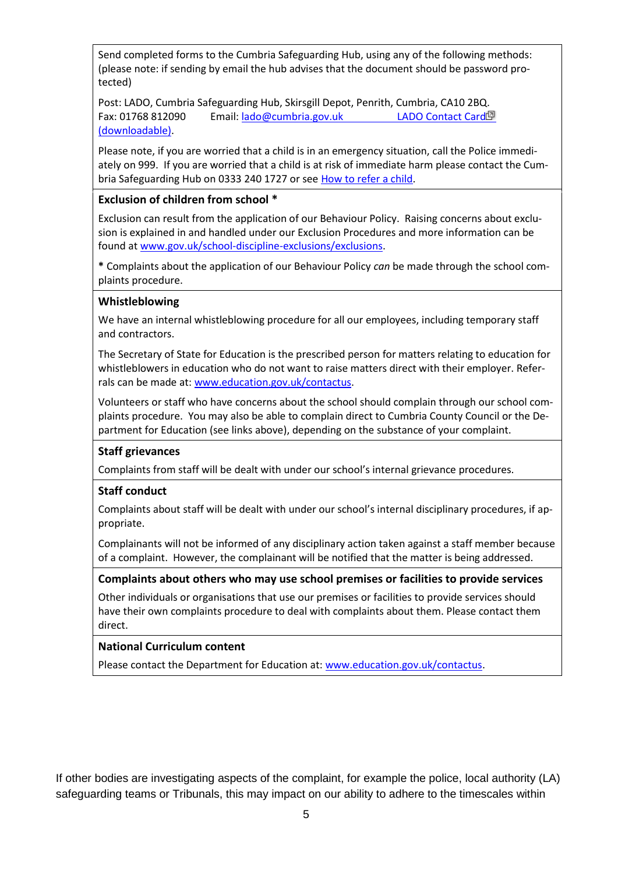Send completed forms to the Cumbria Safeguarding Hub, using any of the following methods: (please note: if sending by email the hub advises that the document should be password protected)

Post: LADO, Cumbria Safeguarding Hub, Skirsgill Depot, Penrith, Cumbria, CA10 2BQ. Fax: 01768 812090 Email[: lado@cumbria.gov.uk](mailto:lado@cumbria.gov.uk) [LADO Contact Card](http://www.cumbria.gov.uk/eLibrary/Content/Internet/537/6683/6687/17964/4406111636.pdf) (downloadable).

Please note, if you are worried that a child is in an emergency situation, call the Police immediately on 999. If you are worried that a child is at risk of immediate harm please contact the Cumbria Safeguarding Hub on 0333 240 1727 or see [How to refer a child.](https://www.cumbriasafeguardingchildren.co.uk/LSCB/professionals/hub/whattodoifyouhaveconcernsaboutachild.asp)

#### **Exclusion of children from school \***

Exclusion can result from the application of our Behaviour Policy. Raising concerns about exclusion is explained in and handled under our Exclusion Procedures and more information can be found at [www.gov.uk/school-discipline-exclusions/exclusions.](http://www.gov.uk/school-discipline-exclusions/exclusions)

**\*** Complaints about the application of our Behaviour Policy *can* be made through the school complaints procedure.

#### **Whistleblowing**

We have an internal whistleblowing procedure for all our employees, including temporary staff and contractors.

The Secretary of State for Education is the prescribed person for matters relating to education for whistleblowers in education who do not want to raise matters direct with their employer. Referrals can be made at: [www.education.gov.uk/contactus.](http://www.education.gov.uk/contactus)

Volunteers or staff who have concerns about the school should complain through our school complaints procedure. You may also be able to complain direct to Cumbria County Council or the Department for Education (see links above), depending on the substance of your complaint.

#### **Staff grievances**

Complaints from staff will be dealt with under our school's internal grievance procedures.

#### **Staff conduct**

Complaints about staff will be dealt with under our school's internal disciplinary procedures, if appropriate.

Complainants will not be informed of any disciplinary action taken against a staff member because of a complaint. However, the complainant will be notified that the matter is being addressed.

#### **Complaints about others who may use school premises or facilities to provide services**

Other individuals or organisations that use our premises or facilities to provide services should have their own complaints procedure to deal with complaints about them. Please contact them direct.

#### **National Curriculum content**

Please contact the Department for Education at: [www.education.gov.uk/contactus.](http://www.education.gov.uk/contactus)

If other bodies are investigating aspects of the complaint, for example the police, local authority (LA) safeguarding teams or Tribunals, this may impact on our ability to adhere to the timescales within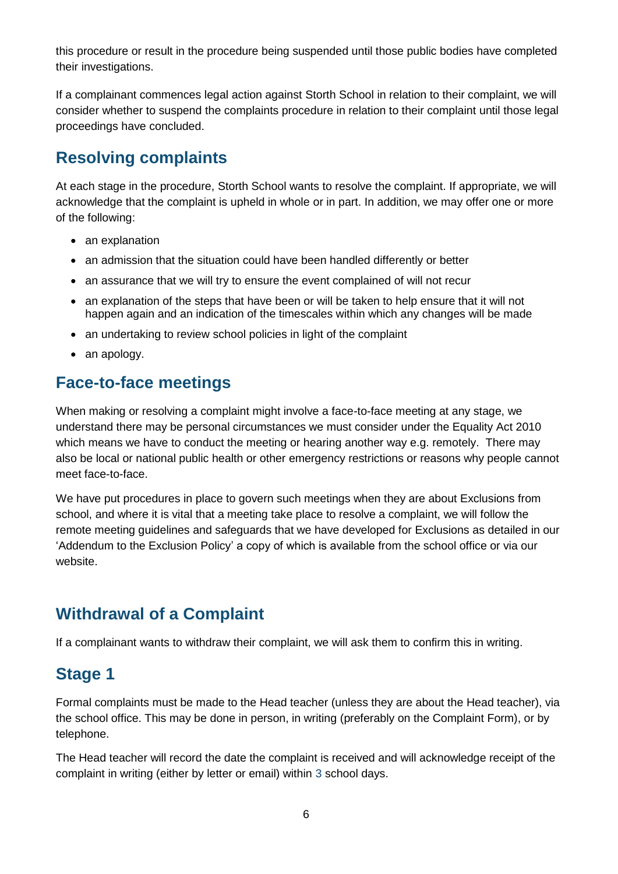this procedure or result in the procedure being suspended until those public bodies have completed their investigations.

If a complainant commences legal action against Storth School in relation to their complaint, we will consider whether to suspend the complaints procedure in relation to their complaint until those legal proceedings have concluded.

# **Resolving complaints**

At each stage in the procedure, Storth School wants to resolve the complaint. If appropriate, we will acknowledge that the complaint is upheld in whole or in part. In addition, we may offer one or more of the following:

- an explanation
- an admission that the situation could have been handled differently or better
- an assurance that we will try to ensure the event complained of will not recur
- an explanation of the steps that have been or will be taken to help ensure that it will not happen again and an indication of the timescales within which any changes will be made
- an undertaking to review school policies in light of the complaint
- an apology.

### **Face-to-face meetings**

When making or resolving a complaint might involve a face-to-face meeting at any stage, we understand there may be personal circumstances we must consider under the Equality Act 2010 which means we have to conduct the meeting or hearing another way e.g. remotely. There may also be local or national public health or other emergency restrictions or reasons why people cannot meet face-to-face.

We have put procedures in place to govern such meetings when they are about Exclusions from school, and where it is vital that a meeting take place to resolve a complaint, we will follow the remote meeting guidelines and safeguards that we have developed for Exclusions as detailed in our 'Addendum to the Exclusion Policy' a copy of which is available from the school office or via our website.

# **Withdrawal of a Complaint**

If a complainant wants to withdraw their complaint, we will ask them to confirm this in writing.

# **Stage 1**

Formal complaints must be made to the Head teacher (unless they are about the Head teacher), via the school office. This may be done in person, in writing (preferably on the Complaint Form), or by telephone.

The Head teacher will record the date the complaint is received and will acknowledge receipt of the complaint in writing (either by letter or email) within 3 school days.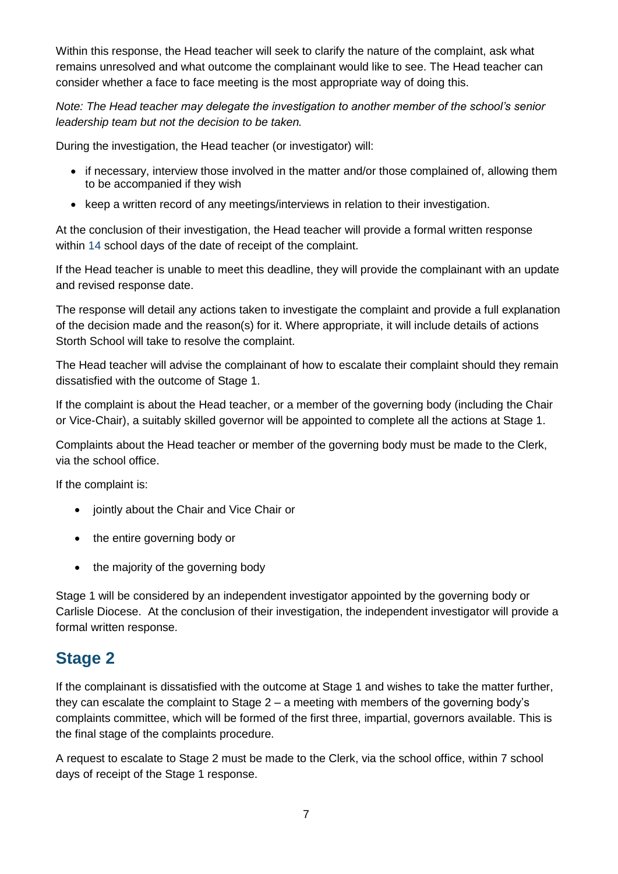Within this response, the Head teacher will seek to clarify the nature of the complaint, ask what remains unresolved and what outcome the complainant would like to see. The Head teacher can consider whether a face to face meeting is the most appropriate way of doing this.

*Note: The Head teacher may delegate the investigation to another member of the school's senior leadership team but not the decision to be taken.*

During the investigation, the Head teacher (or investigator) will:

- if necessary, interview those involved in the matter and/or those complained of, allowing them to be accompanied if they wish
- keep a written record of any meetings/interviews in relation to their investigation.

At the conclusion of their investigation, the Head teacher will provide a formal written response within 14 school days of the date of receipt of the complaint.

If the Head teacher is unable to meet this deadline, they will provide the complainant with an update and revised response date.

The response will detail any actions taken to investigate the complaint and provide a full explanation of the decision made and the reason(s) for it. Where appropriate, it will include details of actions Storth School will take to resolve the complaint.

The Head teacher will advise the complainant of how to escalate their complaint should they remain dissatisfied with the outcome of Stage 1.

If the complaint is about the Head teacher, or a member of the governing body (including the Chair or Vice-Chair), a suitably skilled governor will be appointed to complete all the actions at Stage 1.

Complaints about the Head teacher or member of the governing body must be made to the Clerk, via the school office.

If the complaint is:

- jointly about the Chair and Vice Chair or
- the entire governing body or
- the majority of the governing body

Stage 1 will be considered by an independent investigator appointed by the governing body or Carlisle Diocese. At the conclusion of their investigation, the independent investigator will provide a formal written response.

# **Stage 2**

If the complainant is dissatisfied with the outcome at Stage 1 and wishes to take the matter further, they can escalate the complaint to Stage 2 – a meeting with members of the governing body's complaints committee, which will be formed of the first three, impartial, governors available. This is the final stage of the complaints procedure.

A request to escalate to Stage 2 must be made to the Clerk, via the school office, within 7 school days of receipt of the Stage 1 response.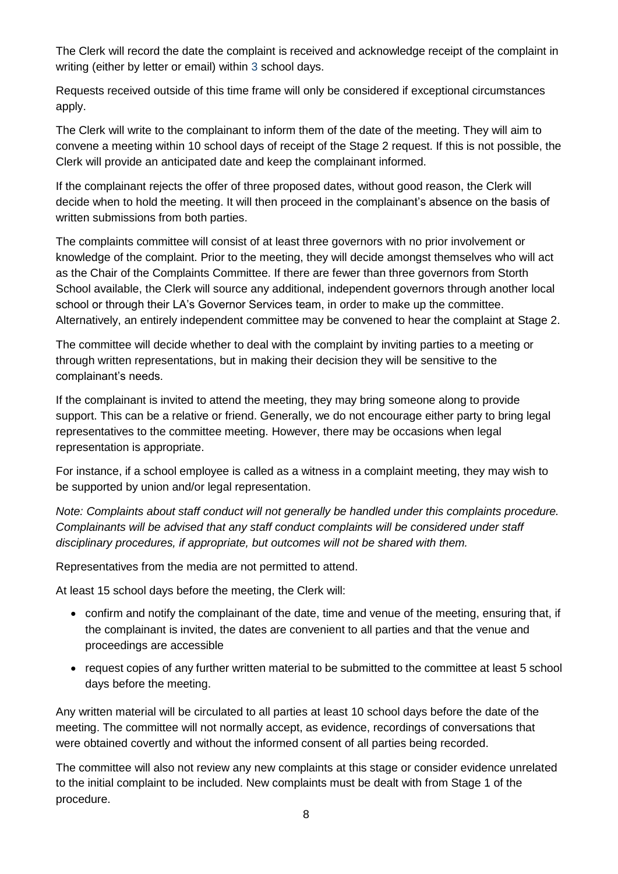The Clerk will record the date the complaint is received and acknowledge receipt of the complaint in writing (either by letter or email) within 3 school days.

Requests received outside of this time frame will only be considered if exceptional circumstances apply.

The Clerk will write to the complainant to inform them of the date of the meeting. They will aim to convene a meeting within 10 school days of receipt of the Stage 2 request. If this is not possible, the Clerk will provide an anticipated date and keep the complainant informed.

If the complainant rejects the offer of three proposed dates, without good reason, the Clerk will decide when to hold the meeting. It will then proceed in the complainant's absence on the basis of written submissions from both parties.

The complaints committee will consist of at least three governors with no prior involvement or knowledge of the complaint. Prior to the meeting, they will decide amongst themselves who will act as the Chair of the Complaints Committee. If there are fewer than three governors from Storth School available, the Clerk will source any additional, independent governors through another local school or through their LA's Governor Services team, in order to make up the committee. Alternatively, an entirely independent committee may be convened to hear the complaint at Stage 2.

The committee will decide whether to deal with the complaint by inviting parties to a meeting or through written representations, but in making their decision they will be sensitive to the complainant's needs.

If the complainant is invited to attend the meeting, they may bring someone along to provide support. This can be a relative or friend. Generally, we do not encourage either party to bring legal representatives to the committee meeting. However, there may be occasions when legal representation is appropriate.

For instance, if a school employee is called as a witness in a complaint meeting, they may wish to be supported by union and/or legal representation.

*Note: Complaints about staff conduct will not generally be handled under this complaints procedure. Complainants will be advised that any staff conduct complaints will be considered under staff disciplinary procedures, if appropriate, but outcomes will not be shared with them.* 

Representatives from the media are not permitted to attend.

At least 15 school days before the meeting, the Clerk will:

- confirm and notify the complainant of the date, time and venue of the meeting, ensuring that, if the complainant is invited, the dates are convenient to all parties and that the venue and proceedings are accessible
- request copies of any further written material to be submitted to the committee at least 5 school days before the meeting.

Any written material will be circulated to all parties at least 10 school days before the date of the meeting. The committee will not normally accept, as evidence, recordings of conversations that were obtained covertly and without the informed consent of all parties being recorded.

The committee will also not review any new complaints at this stage or consider evidence unrelated to the initial complaint to be included. New complaints must be dealt with from Stage 1 of the procedure.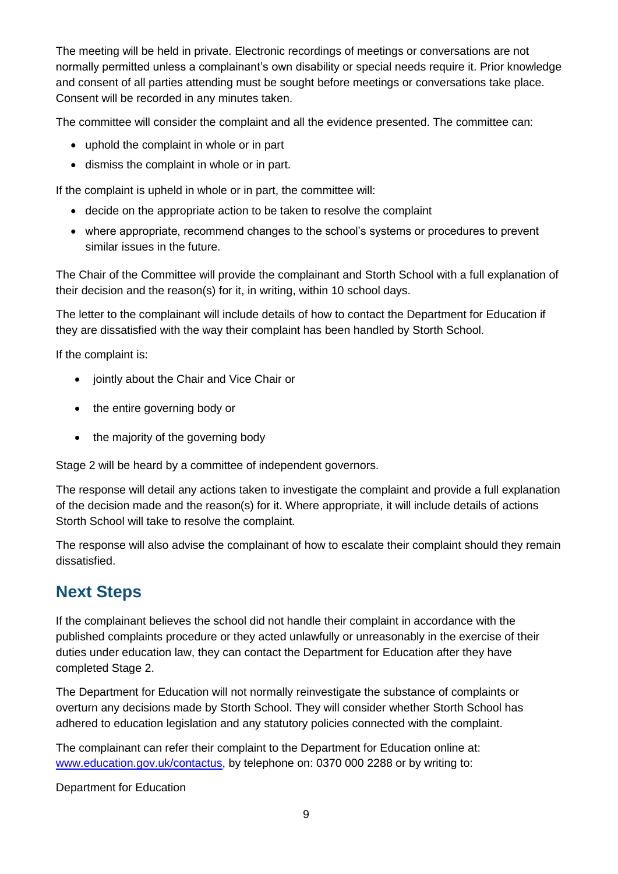The meeting will be held in private. Electronic recordings of meetings or conversations are not normally permitted unless a complainant's own disability or special needs require it. Prior knowledge and consent of all parties attending must be sought before meetings or conversations take place. Consent will be recorded in any minutes taken.

The committee will consider the complaint and all the evidence presented. The committee can:

- uphold the complaint in whole or in part
- dismiss the complaint in whole or in part.

If the complaint is upheld in whole or in part, the committee will:

- decide on the appropriate action to be taken to resolve the complaint
- where appropriate, recommend changes to the school's systems or procedures to prevent similar issues in the future.

The Chair of the Committee will provide the complainant and Storth School with a full explanation of their decision and the reason(s) for it, in writing, within 10 school days.

The letter to the complainant will include details of how to contact the Department for Education if they are dissatisfied with the way their complaint has been handled by Storth School.

If the complaint is:

- jointly about the Chair and Vice Chair or
- the entire governing body or
- the majority of the governing body

Stage 2 will be heard by a committee of independent governors.

The response will detail any actions taken to investigate the complaint and provide a full explanation of the decision made and the reason(s) for it. Where appropriate, it will include details of actions Storth School will take to resolve the complaint.

The response will also advise the complainant of how to escalate their complaint should they remain dissatisfied.

# **Next Steps**

If the complainant believes the school did not handle their complaint in accordance with the published complaints procedure or they acted unlawfully or unreasonably in the exercise of their duties under education law, they can contact the Department for Education after they have completed Stage 2.

The Department for Education will not normally reinvestigate the substance of complaints or overturn any decisions made by Storth School. They will consider whether Storth School has adhered to education legislation and any statutory policies connected with the complaint.

The complainant can refer their complaint to the Department for Education online at: [www.education.gov.uk/contactus,](http://www.education.gov.uk/contactus) by telephone on: 0370 000 2288 or by writing to:

Department for Education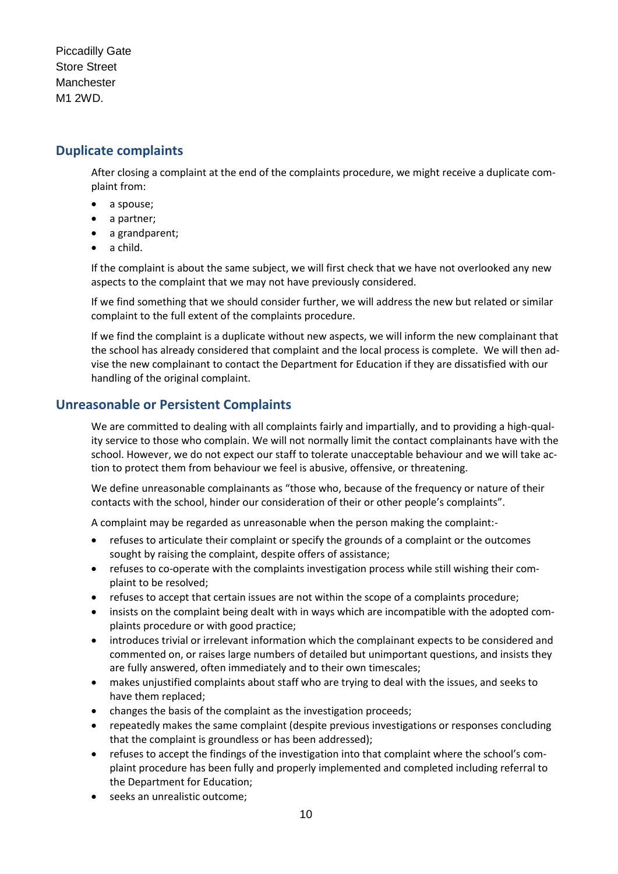Piccadilly Gate Store Street **Manchester** M1 2WD.

### **Duplicate complaints**

After closing a complaint at the end of the complaints procedure, we might receive a duplicate complaint from:

- a spouse;
- a partner;
- a grandparent;
- $\bullet$  a child.

If the complaint is about the same subject, we will first check that we have not overlooked any new aspects to the complaint that we may not have previously considered.

If we find something that we should consider further, we will address the new but related or similar complaint to the full extent of the complaints procedure.

If we find the complaint is a duplicate without new aspects, we will inform the new complainant that the school has already considered that complaint and the local process is complete. We will then advise the new complainant to contact the Department for Education if they are dissatisfied with our handling of the original complaint.

### **Unreasonable or Persistent Complaints**

We are committed to dealing with all complaints fairly and impartially, and to providing a high-quality service to those who complain. We will not normally limit the contact complainants have with the school. However, we do not expect our staff to tolerate unacceptable behaviour and we will take action to protect them from behaviour we feel is abusive, offensive, or threatening.

We define unreasonable complainants as "those who, because of the frequency or nature of their contacts with the school, hinder our consideration of their or other people's complaints".

A complaint may be regarded as unreasonable when the person making the complaint:-

- refuses to articulate their complaint or specify the grounds of a complaint or the outcomes sought by raising the complaint, despite offers of assistance;
- refuses to co-operate with the complaints investigation process while still wishing their complaint to be resolved;
- refuses to accept that certain issues are not within the scope of a complaints procedure;
- insists on the complaint being dealt with in ways which are incompatible with the adopted complaints procedure or with good practice;
- introduces trivial or irrelevant information which the complainant expects to be considered and commented on, or raises large numbers of detailed but unimportant questions, and insists they are fully answered, often immediately and to their own timescales;
- makes unjustified complaints about staff who are trying to deal with the issues, and seeks to have them replaced;
- changes the basis of the complaint as the investigation proceeds;
- repeatedly makes the same complaint (despite previous investigations or responses concluding that the complaint is groundless or has been addressed);
- refuses to accept the findings of the investigation into that complaint where the school's complaint procedure has been fully and properly implemented and completed including referral to the Department for Education;
- seeks an unrealistic outcome;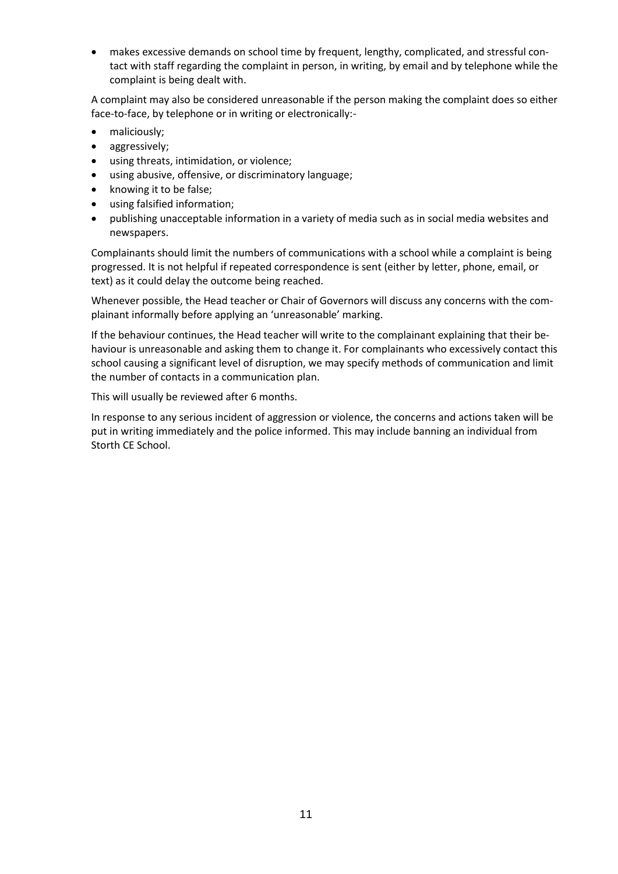makes excessive demands on school time by frequent, lengthy, complicated, and stressful contact with staff regarding the complaint in person, in writing, by email and by telephone while the complaint is being dealt with.

A complaint may also be considered unreasonable if the person making the complaint does so either face-to-face, by telephone or in writing or electronically:-

- maliciously;
- aggressively;
- using threats, intimidation, or violence;
- using abusive, offensive, or discriminatory language;
- knowing it to be false;
- using falsified information;
- publishing unacceptable information in a variety of media such as in social media websites and newspapers.

Complainants should limit the numbers of communications with a school while a complaint is being progressed. It is not helpful if repeated correspondence is sent (either by letter, phone, email, or text) as it could delay the outcome being reached.

Whenever possible, the Head teacher or Chair of Governors will discuss any concerns with the complainant informally before applying an 'unreasonable' marking.

If the behaviour continues, the Head teacher will write to the complainant explaining that their behaviour is unreasonable and asking them to change it. For complainants who excessively contact this school causing a significant level of disruption, we may specify methods of communication and limit the number of contacts in a communication plan.

This will usually be reviewed after 6 months.

In response to any serious incident of aggression or violence, the concerns and actions taken will be put in writing immediately and the police informed. This may include banning an individual from Storth CE School.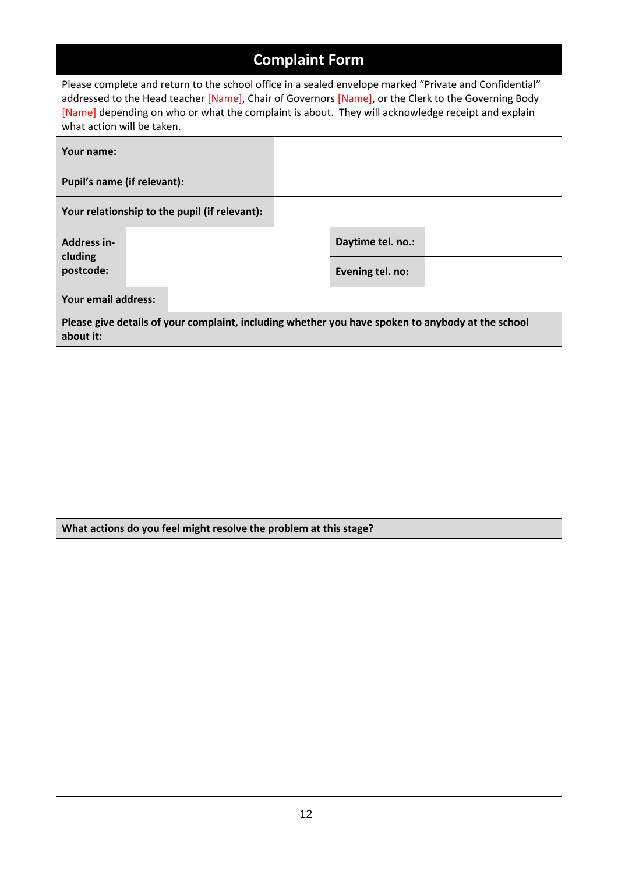# **Complaint Form**

| Please complete and return to the school office in a sealed envelope marked "Private and Confidential"<br>addressed to the Head teacher [Name], Chair of Governors [Name], or the Clerk to the Governing Body<br>[Name] depending on who or what the complaint is about. They will acknowledge receipt and explain<br>what action will be taken. |                   |  |  |  |  |
|--------------------------------------------------------------------------------------------------------------------------------------------------------------------------------------------------------------------------------------------------------------------------------------------------------------------------------------------------|-------------------|--|--|--|--|
| Your name:                                                                                                                                                                                                                                                                                                                                       |                   |  |  |  |  |
| Pupil's name (if relevant):                                                                                                                                                                                                                                                                                                                      |                   |  |  |  |  |
| Your relationship to the pupil (if relevant):                                                                                                                                                                                                                                                                                                    |                   |  |  |  |  |
| Address in-                                                                                                                                                                                                                                                                                                                                      | Daytime tel. no.: |  |  |  |  |
| cluding<br>postcode:                                                                                                                                                                                                                                                                                                                             | Evening tel. no:  |  |  |  |  |
| Your email address:                                                                                                                                                                                                                                                                                                                              |                   |  |  |  |  |
| Please give details of your complaint, including whether you have spoken to anybody at the school<br>about it:                                                                                                                                                                                                                                   |                   |  |  |  |  |
|                                                                                                                                                                                                                                                                                                                                                  |                   |  |  |  |  |
|                                                                                                                                                                                                                                                                                                                                                  |                   |  |  |  |  |
|                                                                                                                                                                                                                                                                                                                                                  |                   |  |  |  |  |
|                                                                                                                                                                                                                                                                                                                                                  |                   |  |  |  |  |
|                                                                                                                                                                                                                                                                                                                                                  |                   |  |  |  |  |
|                                                                                                                                                                                                                                                                                                                                                  |                   |  |  |  |  |
| What actions do you feel might resolve the problem at this stage?                                                                                                                                                                                                                                                                                |                   |  |  |  |  |
|                                                                                                                                                                                                                                                                                                                                                  |                   |  |  |  |  |
|                                                                                                                                                                                                                                                                                                                                                  |                   |  |  |  |  |
|                                                                                                                                                                                                                                                                                                                                                  |                   |  |  |  |  |
|                                                                                                                                                                                                                                                                                                                                                  |                   |  |  |  |  |
|                                                                                                                                                                                                                                                                                                                                                  |                   |  |  |  |  |
|                                                                                                                                                                                                                                                                                                                                                  |                   |  |  |  |  |
|                                                                                                                                                                                                                                                                                                                                                  |                   |  |  |  |  |
|                                                                                                                                                                                                                                                                                                                                                  |                   |  |  |  |  |
|                                                                                                                                                                                                                                                                                                                                                  |                   |  |  |  |  |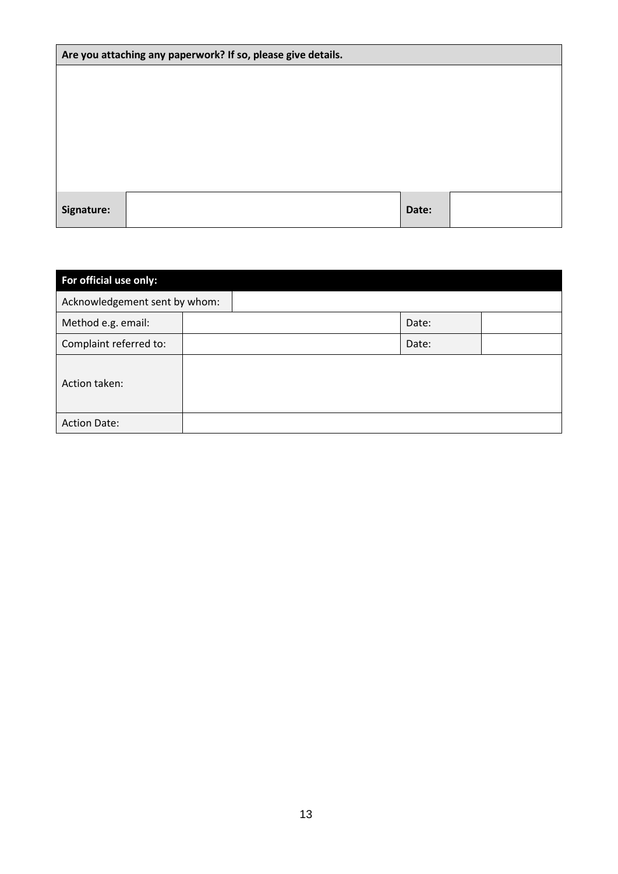| Are you attaching any paperwork? If so, please give details. |  |       |  |  |
|--------------------------------------------------------------|--|-------|--|--|
|                                                              |  |       |  |  |
|                                                              |  |       |  |  |
|                                                              |  |       |  |  |
|                                                              |  |       |  |  |
|                                                              |  |       |  |  |
|                                                              |  |       |  |  |
| Signature:                                                   |  | Date: |  |  |

| For official use only:        |  |       |  |  |  |  |  |
|-------------------------------|--|-------|--|--|--|--|--|
| Acknowledgement sent by whom: |  |       |  |  |  |  |  |
| Method e.g. email:            |  | Date: |  |  |  |  |  |
| Complaint referred to:        |  | Date: |  |  |  |  |  |
| Action taken:                 |  |       |  |  |  |  |  |
| <b>Action Date:</b>           |  |       |  |  |  |  |  |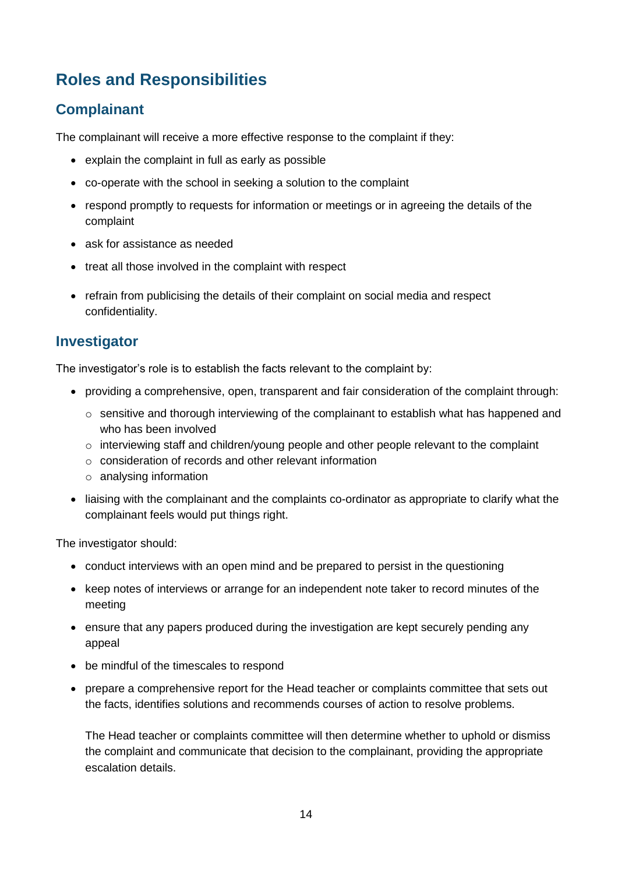# **Roles and Responsibilities**

### **Complainant**

The complainant will receive a more effective response to the complaint if they:

- explain the complaint in full as early as possible
- co-operate with the school in seeking a solution to the complaint
- respond promptly to requests for information or meetings or in agreeing the details of the complaint
- ask for assistance as needed
- treat all those involved in the complaint with respect
- refrain from publicising the details of their complaint on social media and respect confidentiality.

### **Investigator**

The investigator's role is to establish the facts relevant to the complaint by:

- providing a comprehensive, open, transparent and fair consideration of the complaint through:
	- $\circ$  sensitive and thorough interviewing of the complainant to establish what has happened and who has been involved
	- $\circ$  interviewing staff and children/young people and other people relevant to the complaint
	- o consideration of records and other relevant information
	- o analysing information
- liaising with the complainant and the complaints co-ordinator as appropriate to clarify what the complainant feels would put things right.

The investigator should:

- conduct interviews with an open mind and be prepared to persist in the questioning
- keep notes of interviews or arrange for an independent note taker to record minutes of the meeting
- ensure that any papers produced during the investigation are kept securely pending any appeal
- be mindful of the timescales to respond
- prepare a comprehensive report for the Head teacher or complaints committee that sets out the facts, identifies solutions and recommends courses of action to resolve problems.

The Head teacher or complaints committee will then determine whether to uphold or dismiss the complaint and communicate that decision to the complainant, providing the appropriate escalation details.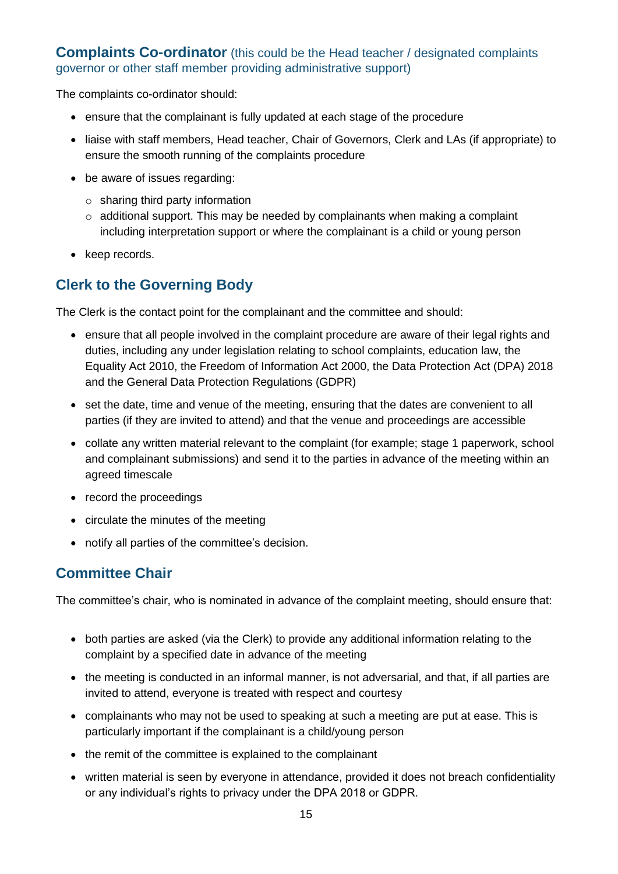### **Complaints Co-ordinator** (this could be the Head teacher / designated complaints governor or other staff member providing administrative support)

The complaints co-ordinator should:

- ensure that the complainant is fully updated at each stage of the procedure
- liaise with staff members, Head teacher, Chair of Governors, Clerk and LAs (if appropriate) to ensure the smooth running of the complaints procedure
- be aware of issues regarding:
	- o sharing third party information
	- o additional support. This may be needed by complainants when making a complaint including interpretation support or where the complainant is a child or young person
- keep records.

### **Clerk to the Governing Body**

The Clerk is the contact point for the complainant and the committee and should:

- ensure that all people involved in the complaint procedure are aware of their legal rights and duties, including any under legislation relating to school complaints, education law, the Equality Act 2010, the Freedom of Information Act 2000, the Data Protection Act (DPA) 2018 and the General Data Protection Regulations (GDPR)
- set the date, time and venue of the meeting, ensuring that the dates are convenient to all parties (if they are invited to attend) and that the venue and proceedings are accessible
- collate any written material relevant to the complaint (for example; stage 1 paperwork, school and complainant submissions) and send it to the parties in advance of the meeting within an agreed timescale
- record the proceedings
- circulate the minutes of the meeting
- notify all parties of the committee's decision.

### **Committee Chair**

The committee's chair, who is nominated in advance of the complaint meeting, should ensure that:

- both parties are asked (via the Clerk) to provide any additional information relating to the complaint by a specified date in advance of the meeting
- the meeting is conducted in an informal manner, is not adversarial, and that, if all parties are invited to attend, everyone is treated with respect and courtesy
- complainants who may not be used to speaking at such a meeting are put at ease. This is particularly important if the complainant is a child/young person
- the remit of the committee is explained to the complainant
- written material is seen by everyone in attendance, provided it does not breach confidentiality or any individual's rights to privacy under the DPA 2018 or GDPR.